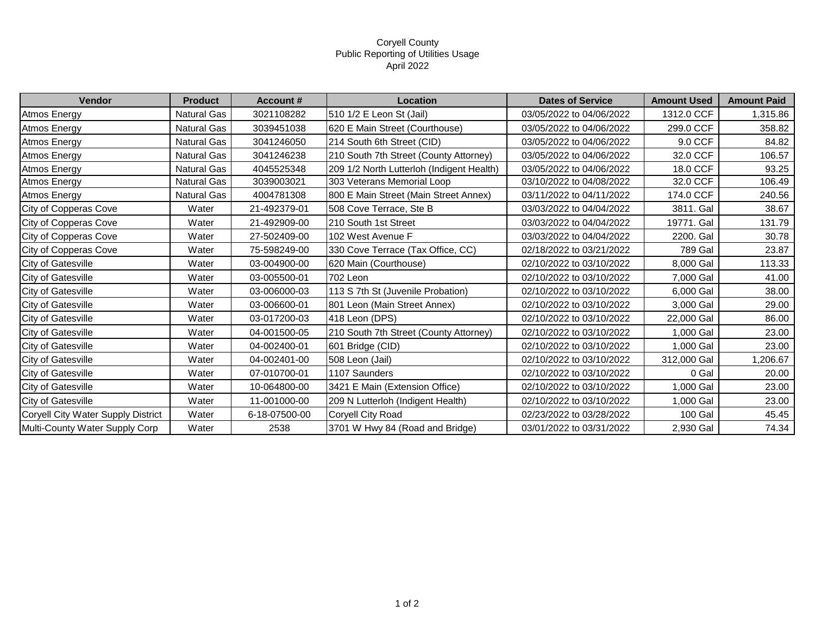## Coryell County Public Reporting of Utilities Usage April 2022

| Vendor                             | <b>Product</b>     | <b>Account #</b> | <b>Location</b>                           | <b>Dates of Service</b>  | <b>Amount Used</b> | <b>Amount Paid</b> |
|------------------------------------|--------------------|------------------|-------------------------------------------|--------------------------|--------------------|--------------------|
| <b>Atmos Energy</b>                | <b>Natural Gas</b> | 3021108282       | 510 1/2 E Leon St (Jail)                  | 03/05/2022 to 04/06/2022 | 1312.0 CCF         | 1,315.86           |
| Atmos Energy                       | Natural Gas        | 3039451038       | 620 E Main Street (Courthouse)            | 03/05/2022 to 04/06/2022 | 299.0 CCF          | 358.82             |
| Atmos Energy                       | Natural Gas        | 3041246050       | 214 South 6th Street (CID)                | 03/05/2022 to 04/06/2022 | 9.0 CCF            | 84.82              |
| Atmos Energy                       | Natural Gas        | 3041246238       | 210 South 7th Street (County Attorney)    | 03/05/2022 to 04/06/2022 | 32.0 CCF           | 106.57             |
| Atmos Energy                       | Natural Gas        | 4045525348       | 209 1/2 North Lutterloh (Indigent Health) | 03/05/2022 to 04/06/2022 | 18.0 CCF           | 93.25              |
| Atmos Energy                       | Natural Gas        | 3039003021       | 303 Veterans Memorial Loop                | 03/10/2022 to 04/08/2022 | 32.0 CCF           | 106.49             |
| Atmos Energy                       | <b>Natural Gas</b> | 4004781308       | 800 E Main Street (Main Street Annex)     | 03/11/2022 to 04/11/2022 | 174.0 CCF          | 240.56             |
| City of Copperas Cove              | Water              | 21-492379-01     | 508 Cove Terrace, Ste B                   | 03/03/2022 to 04/04/2022 | 3811. Gal          | 38.67              |
| City of Copperas Cove              | Water              | 21-492909-00     | 210 South 1st Street                      | 03/03/2022 to 04/04/2022 | 19771. Gal         | 131.79             |
| City of Copperas Cove              | Water              | 27-502409-00     | 102 West Avenue F                         | 03/03/2022 to 04/04/2022 | 2200. Gal          | 30.78              |
| City of Copperas Cove              | Water              | 75-598249-00     | 330 Cove Terrace (Tax Office, CC)         | 02/18/2022 to 03/21/2022 | 789 Gal            | 23.87              |
| City of Gatesville                 | Water              | 03-004900-00     | 620 Main (Courthouse)                     | 02/10/2022 to 03/10/2022 | 8,000 Gal          | 113.33             |
| City of Gatesville                 | Water              | 03-005500-01     | 702 Leon                                  | 02/10/2022 to 03/10/2022 | 7,000 Gal          | 41.00              |
| <b>City of Gatesville</b>          | Water              | 03-006000-03     | 113 S 7th St (Juvenile Probation)         | 02/10/2022 to 03/10/2022 | 6,000 Gal          | 38.00              |
| <b>City of Gatesville</b>          | Water              | 03-006600-01     | 801 Leon (Main Street Annex)              | 02/10/2022 to 03/10/2022 | 3,000 Gal          | 29.00              |
| City of Gatesville                 | Water              | 03-017200-03     | 418 Leon (DPS)                            | 02/10/2022 to 03/10/2022 | 22,000 Gal         | 86.00              |
| City of Gatesville                 | Water              | 04-001500-05     | 210 South 7th Street (County Attorney)    | 02/10/2022 to 03/10/2022 | 1,000 Gal          | 23.00              |
| City of Gatesville                 | Water              | 04-002400-01     | 601 Bridge (CID)                          | 02/10/2022 to 03/10/2022 | 1,000 Gal          | 23.00              |
| <b>City of Gatesville</b>          | Water              | 04-002401-00     | 508 Leon (Jail)                           | 02/10/2022 to 03/10/2022 | 312,000 Gal        | 1,206.67           |
| City of Gatesville                 | Water              | 07-010700-01     | 1107 Saunders                             | 02/10/2022 to 03/10/2022 | 0 Gal              | 20.00              |
| City of Gatesville                 | Water              | 10-064800-00     | 3421 E Main (Extension Office)            | 02/10/2022 to 03/10/2022 | 1,000 Gal          | 23.00              |
| <b>City of Gatesville</b>          | Water              | 11-001000-00     | 209 N Lutterloh (Indigent Health)         | 02/10/2022 to 03/10/2022 | 1,000 Gal          | 23.00              |
| Coryell City Water Supply District | Water              | 6-18-07500-00    | Coryell City Road                         | 02/23/2022 to 03/28/2022 | 100 Gal            | 45.45              |
| Multi-County Water Supply Corp     | Water              | 2538             | 3701 W Hwy 84 (Road and Bridge)           | 03/01/2022 to 03/31/2022 | 2,930 Gal          | 74.34              |